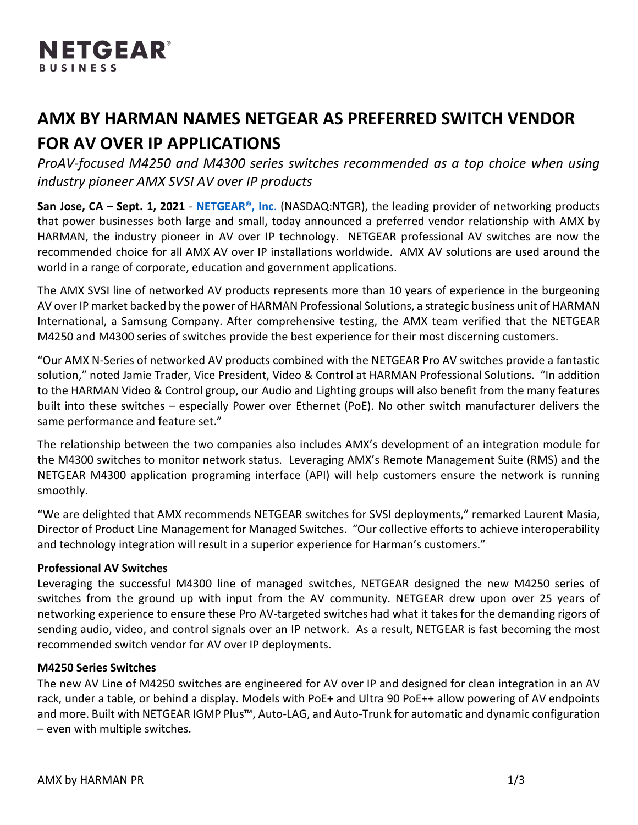

# **AMX BY HARMAN NAMES NETGEAR AS PREFERRED SWITCH VENDOR FOR AV OVER IP APPLICATIONS**

*ProAV-focused M4250 and M4300 series switches recommended as a top choice when using industry pioneer AMX SVSI AV over IP products*

**San Jose, CA – Sept. 1, 2021** - **[NETGEAR®, Inc](https://investor.netgear.com/overview/default.aspx)**. (NASDAQ:NTGR), the leading provider of networking products that power businesses both large and small, today announced a preferred vendor relationship with AMX by HARMAN, the industry pioneer in AV over IP technology. NETGEAR professional AV switches are now the recommended choice for all AMX AV over IP installations worldwide. AMX AV solutions are used around the world in a range of corporate, education and government applications.

The AMX SVSI line of networked AV products represents more than 10 years of experience in the burgeoning AV over IP market backed by the power of HARMAN Professional Solutions, a strategic business unit of HARMAN International, a Samsung Company. After comprehensive testing, the AMX team verified that the NETGEAR M4250 and M4300 series of switches provide the best experience for their most discerning customers.

"Our AMX N-Series of networked AV products combined with the NETGEAR Pro AV switches provide a fantastic solution," noted Jamie Trader, Vice President, Video & Control at HARMAN Professional Solutions. "In addition to the HARMAN Video & Control group, our Audio and Lighting groups will also benefit from the many features built into these switches – especially Power over Ethernet (PoE). No other switch manufacturer delivers the same performance and feature set."

The relationship between the two companies also includes AMX's development of an integration module for the M4300 switches to monitor network status. Leveraging AMX's Remote Management Suite (RMS) and the NETGEAR M4300 application programing interface (API) will help customers ensure the network is running smoothly.

"We are delighted that AMX recommends NETGEAR switches for SVSI deployments," remarked Laurent Masia, Director of Product Line Management for Managed Switches. "Our collective efforts to achieve interoperability and technology integration will result in a superior experience for Harman's customers."

## **Professional AV Switches**

Leveraging the successful M4300 line of managed switches, NETGEAR designed the new M4250 series of switches from the ground up with input from the AV community. NETGEAR drew upon over 25 years of networking experience to ensure these Pro AV-targeted switches had what it takes for the demanding rigors of sending audio, video, and control signals over an IP network. As a result, NETGEAR is fast becoming the most recommended switch vendor for AV over IP deployments.

#### **M4250 Series Switches**

The new AV Line of M4250 switches are engineered for AV over IP and designed for clean integration in an AV rack, under a table, or behind a display. Models with PoE+ and Ultra 90 PoE++ allow powering of AV endpoints and more. Built with NETGEAR IGMP Plus™, Auto-LAG, and Auto-Trunk for automatic and dynamic configuration – even with multiple switches.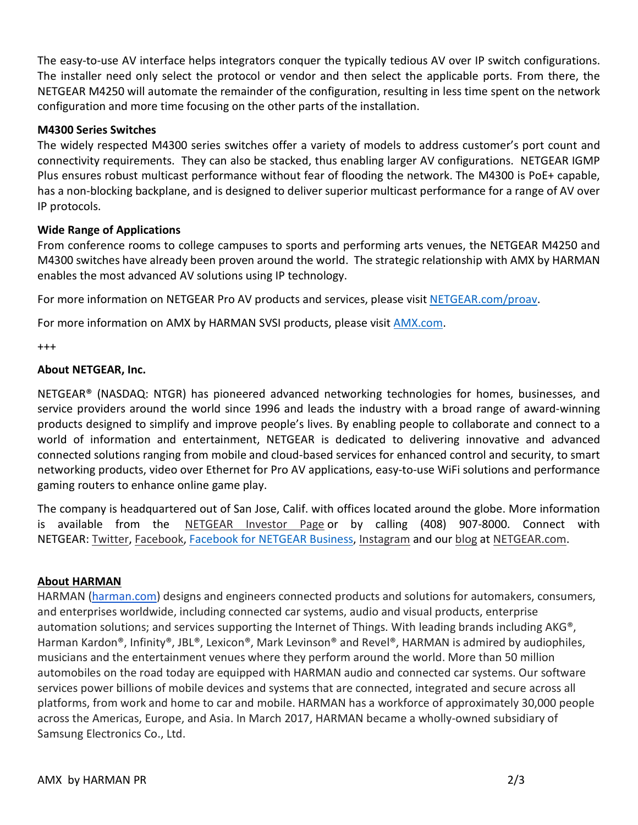The easy-to-use AV interface helps integrators conquer the typically tedious AV over IP switch configurations. The installer need only select the protocol or vendor and then select the applicable ports. From there, the NETGEAR M4250 will automate the remainder of the configuration, resulting in less time spent on the network configuration and more time focusing on the other parts of the installation.

## **M4300 Series Switches**

The widely respected M4300 series switches offer a variety of models to address customer's port count and connectivity requirements. They can also be stacked, thus enabling larger AV configurations. NETGEAR IGMP Plus ensures robust multicast performance without fear of flooding the network. The M4300 is PoE+ capable, has a non-blocking backplane, and is designed to deliver superior multicast performance for a range of AV over IP protocols.

## **Wide Range of Applications**

From conference rooms to college campuses to sports and performing arts venues, the NETGEAR M4250 and M4300 switches have already been proven around the world. The strategic relationship with AMX by HARMAN enables the most advanced AV solutions using IP technology.

For more information on NETGEAR Pro AV products and services, please visit [NETGEAR.com/](https://www.netgear.com/av-over-ip)proav.

For more information on AMX by HARMAN SVSI products, please visit [AMX.com.](https://www.amx.com/)

+++

## **About NETGEAR, Inc.**

NETGEAR® (NASDAQ: NTGR) has pioneered advanced networking technologies for homes, businesses, and service providers around the world since 1996 and leads the industry with a broad range of award-winning products designed to simplify and improve people's lives. By enabling people to collaborate and connect to a world of information and entertainment, NETGEAR is dedicated to delivering innovative and advanced connected solutions ranging from mobile and cloud-based services for enhanced control and security, to smart networking products, video over Ethernet for Pro AV applications, easy-to-use WiFi solutions and performance gaming routers to enhance online game play.

The company is headquartered out of San Jose, Calif. with offices located around the globe. More information is available from the [NETGEAR](http://investor.netgear.com/) Investor Page or by calling (408) 907-8000. Connect with NETGEAR: [Twitter,](https://twitter.com/NETGEAR) [Facebook,](https://www.facebook.com/Netgear/) [Facebook for NETGEAR Business,](https://www.facebook.com/netgearbiz) [Instagram](https://www.instagram.com/netgear/) and our [blog](https://blog.netgear.com/) at [NETGEAR.com.](https://www.netgear.com/)

#### **About HARMAN**

HARMAN (harman.com) designs and engineers connected products and solutions for automakers, consumers, and enterprises worldwide, including connected car systems, audio and visual products, enterprise automation solutions; and services supporting the Internet of Things. With leading brands including AKG®, Harman Kardon®, Infinity®, JBL®, Lexicon®, Mark Levinson® and Revel®, HARMAN is admired by audiophiles, musicians and the entertainment venues where they perform around the world. More than 50 million automobiles on the road today are equipped with HARMAN audio and connected car systems. Our software services power billions of mobile devices and systems that are connected, integrated and secure across all platforms, from work and home to car and mobile. HARMAN has a workforce of approximately 30,000 people across the Americas, Europe, and Asia. In March 2017, HARMAN became a wholly-owned subsidiary of Samsung Electronics Co., Ltd.